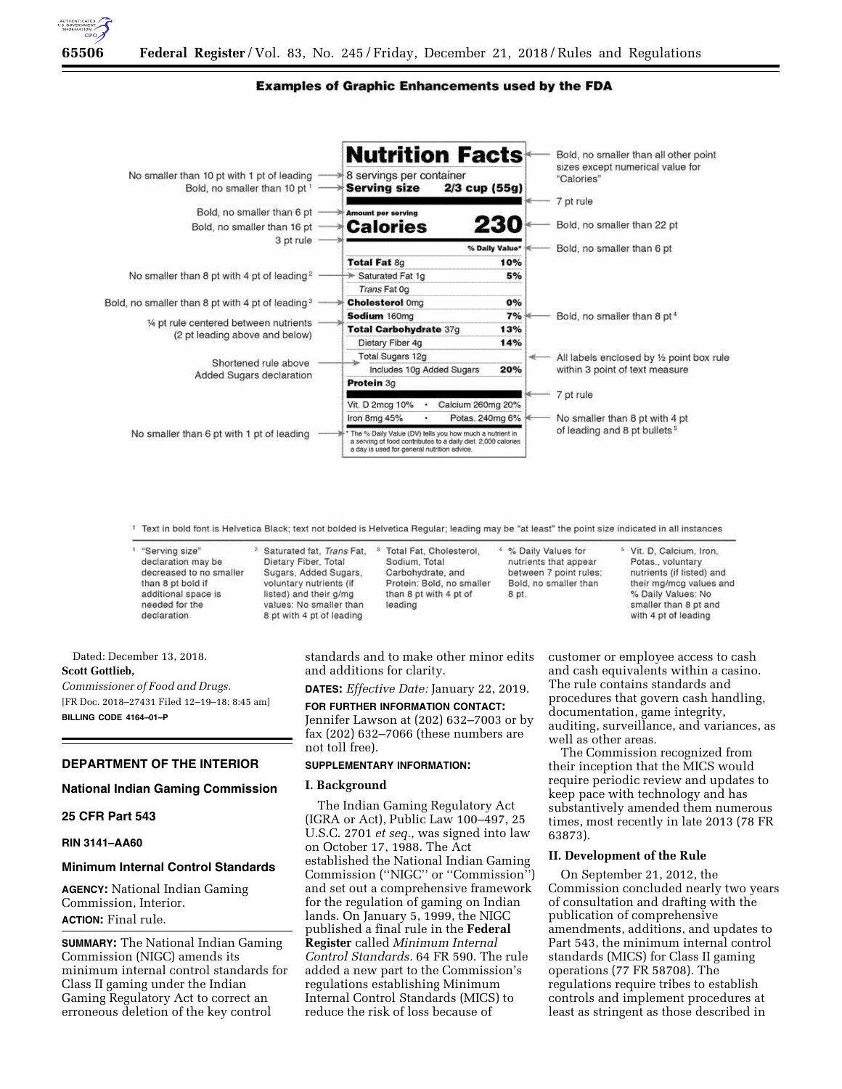

# **Examples of Graphic Enhancements used by the FDA**

|                                                                             | <b>Nutrition Facts</b>                                                                                                                                                 |     | Bold, no smaller than all other point<br>sizes except numerical value for |  |
|-----------------------------------------------------------------------------|------------------------------------------------------------------------------------------------------------------------------------------------------------------------|-----|---------------------------------------------------------------------------|--|
| No smaller than 10 pt with 1 pt of leading<br>Bold, no smaller than 10 pt 1 | 8 servings per container<br><b>Serving size</b><br>$2/3$ cup (55g)                                                                                                     |     | "Calories"                                                                |  |
|                                                                             |                                                                                                                                                                        |     | 7 pt rule                                                                 |  |
| Bold, no smaller than 6 pt<br>Bold, no smaller than 16 pt                   | Amount per serving<br><b>Calories</b>                                                                                                                                  | 230 | Bold, no smaller than 22 pt                                               |  |
| 3 pt rule                                                                   | % Daily Value*                                                                                                                                                         |     | Bold, no smaller than 6 pt                                                |  |
|                                                                             | Total Fat 8g                                                                                                                                                           | 10% |                                                                           |  |
| No smaller than 8 pt with 4 pt of leading <sup>2</sup>                      | Saturated Fat 1g                                                                                                                                                       | 5%  |                                                                           |  |
|                                                                             | Trans Fat 0g                                                                                                                                                           |     |                                                                           |  |
| Bold, no smaller than 8 pt with 4 pt of leading <sup>3</sup>                | <b>Cholesterol Omg</b>                                                                                                                                                 | 0%  |                                                                           |  |
| 1/4 pt rule centered between nutrients<br>(2 pt leading above and below)    | Sodium 160mg                                                                                                                                                           | 7%  | Bold, no smaller than 8 pt <sup>4</sup>                                   |  |
|                                                                             | Total Carbohydrate 37g<br>13%                                                                                                                                          |     |                                                                           |  |
|                                                                             | Dietary Fiber 4g                                                                                                                                                       | 14% |                                                                           |  |
| Shortened rule above<br>Added Sugars declaration                            | Total Sugars 12g                                                                                                                                                       |     | All labels enclosed by 1/2 point box rule                                 |  |
|                                                                             | Includes 10g Added Sugars                                                                                                                                              | 20% | within 3 point of text measure                                            |  |
|                                                                             | Protein 3g                                                                                                                                                             |     |                                                                           |  |
|                                                                             | Calcium 260mg 20%<br>Vit. D 2mcg 10%                                                                                                                                   |     | 7 pt rule                                                                 |  |
|                                                                             | Iron 8mg 45%<br>Potas. 240mg 6%                                                                                                                                        |     | No smaller than 8 pt with 4 pt                                            |  |
| No smaller than 6 pt with 1 pt of leading                                   | The % Daily Value (DV) tells you how much a nutrient in<br>a serving of food contributes to a daily diet, 2,000 calories<br>a day is used for general putrition advice |     | of leading and 8 pt bullets <sup>5</sup>                                  |  |

T Text in bold font is Helvetica Black; text not bolded is Helvetica Regular; leading may be "at least" the point size indicated in all instances

| "Serving size"<br>declaration may be<br>decreased to no smaller<br>than 8 pt bold if<br>additional space is<br>needed for the<br>declaration | <sup>2</sup> Saturated fat, Trans Fat,<br>Dietary Fiber, Total<br>Sugars, Added Sugars,<br>voluntary nutrients (if<br>listed) and their g/mg<br>values: No smaller than<br>8 pt with 4 pt of leading | <sup>3</sup> Total Fat, Cholesterol.<br>Sodium, Total<br>Carbohydrate, and<br>Protein: Bold, no smaller<br>than 8 pt with 4 pt of<br>leading | <sup>4</sup> % Daily Values for<br>nutrients that appear<br>between 7 point rules:<br>Bold, no smaller than<br>8 pt. | <sup>5</sup> Vit. D. Calcium, Iron.<br>Potas., voluntary<br>nutrients (if listed) and<br>their mg/mcg values and<br>% Daily Values: No<br>smaller than 8 pt and<br>with 4 pt of leading |
|----------------------------------------------------------------------------------------------------------------------------------------------|------------------------------------------------------------------------------------------------------------------------------------------------------------------------------------------------------|----------------------------------------------------------------------------------------------------------------------------------------------|----------------------------------------------------------------------------------------------------------------------|-----------------------------------------------------------------------------------------------------------------------------------------------------------------------------------------|
|----------------------------------------------------------------------------------------------------------------------------------------------|------------------------------------------------------------------------------------------------------------------------------------------------------------------------------------------------------|----------------------------------------------------------------------------------------------------------------------------------------------|----------------------------------------------------------------------------------------------------------------------|-----------------------------------------------------------------------------------------------------------------------------------------------------------------------------------------|

Dated: December 13, 2018. **Scott Gottlieb,**  *Commissioner of Food and Drugs.*  [FR Doc. 2018–27431 Filed 12–19–18; 8:45 am] **BILLING CODE 4164–01–P** 

**DEPARTMENT OF THE INTERIOR** 

### **National Indian Gaming Commission**

## **25 CFR Part 543**

## **RIN 3141–AA60**

## **Minimum Internal Control Standards**

**AGENCY:** National Indian Gaming Commission, Interior. **ACTION:** Final rule.

**SUMMARY:** The National Indian Gaming Commission (NIGC) amends its minimum internal control standards for Class II gaming under the Indian Gaming Regulatory Act to correct an erroneous deletion of the key control

standards and to make other minor edits and additions for clarity.

**DATES:** *Effective Date:* January 22, 2019.

**FOR FURTHER INFORMATION CONTACT:**  Jennifer Lawson at (202) 632–7003 or by fax (202) 632–7066 (these numbers are

# **SUPPLEMENTARY INFORMATION:**

### **I. Background**

not toll free).

The Indian Gaming Regulatory Act (IGRA or Act), Public Law 100–497, 25 U.S.C. 2701 *et seq.,* was signed into law on October 17, 1988. The Act established the National Indian Gaming Commission (''NIGC'' or ''Commission'') and set out a comprehensive framework for the regulation of gaming on Indian lands. On January 5, 1999, the NIGC published a final rule in the **Federal Register** called *Minimum Internal Control Standards.* 64 FR 590. The rule added a new part to the Commission's regulations establishing Minimum Internal Control Standards (MICS) to reduce the risk of loss because of

customer or employee access to cash and cash equivalents within a casino. The rule contains standards and procedures that govern cash handling, documentation, game integrity, auditing, surveillance, and variances, as well as other areas.

The Commission recognized from their inception that the MICS would require periodic review and updates to keep pace with technology and has substantively amended them numerous times, most recently in late 2013 (78 FR 63873).

## **II. Development of the Rule**

On September 21, 2012, the Commission concluded nearly two years of consultation and drafting with the publication of comprehensive amendments, additions, and updates to Part 543, the minimum internal control standards (MICS) for Class II gaming operations (77 FR 58708). The regulations require tribes to establish controls and implement procedures at least as stringent as those described in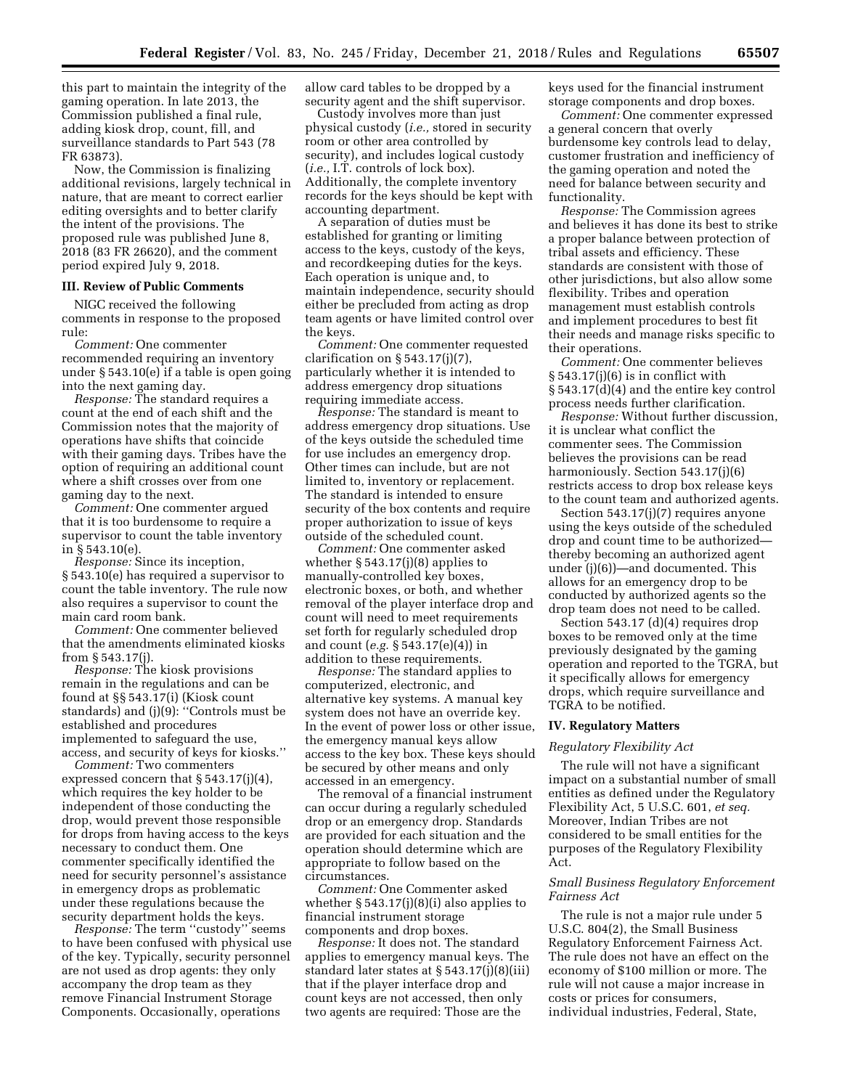this part to maintain the integrity of the gaming operation. In late 2013, the Commission published a final rule, adding kiosk drop, count, fill, and surveillance standards to Part 543 (78 FR 63873).

Now, the Commission is finalizing additional revisions, largely technical in nature, that are meant to correct earlier editing oversights and to better clarify the intent of the provisions. The proposed rule was published June 8, 2018 (83 FR 26620), and the comment period expired July 9, 2018.

# **III. Review of Public Comments**

NIGC received the following comments in response to the proposed rule:

*Comment:* One commenter recommended requiring an inventory under § 543.10(e) if a table is open going into the next gaming day.

*Response:* The standard requires a count at the end of each shift and the Commission notes that the majority of operations have shifts that coincide with their gaming days. Tribes have the option of requiring an additional count where a shift crosses over from one gaming day to the next.

*Comment:* One commenter argued that it is too burdensome to require a supervisor to count the table inventory in § 543.10(e).

*Response:* Since its inception, § 543.10(e) has required a supervisor to count the table inventory. The rule now also requires a supervisor to count the main card room bank.

*Comment:* One commenter believed that the amendments eliminated kiosks from § 543.17(j).

*Response:* The kiosk provisions remain in the regulations and can be found at §§ 543.17(i) (Kiosk count standards) and (j)(9): ''Controls must be established and procedures implemented to safeguard the use, access, and security of keys for kiosks.''

*Comment:* Two commenters expressed concern that § 543.17(j)(4), which requires the key holder to be independent of those conducting the drop, would prevent those responsible for drops from having access to the keys necessary to conduct them. One commenter specifically identified the need for security personnel's assistance in emergency drops as problematic under these regulations because the security department holds the keys.

*Response:* The term ''custody'' seems to have been confused with physical use of the key. Typically, security personnel are not used as drop agents: they only accompany the drop team as they remove Financial Instrument Storage Components. Occasionally, operations

allow card tables to be dropped by a security agent and the shift supervisor.

Custody involves more than just physical custody (*i.e.,* stored in security room or other area controlled by security), and includes logical custody (*i.e.,* I.T. controls of lock box). Additionally, the complete inventory records for the keys should be kept with accounting department.

A separation of duties must be established for granting or limiting access to the keys, custody of the keys, and recordkeeping duties for the keys. Each operation is unique and, to maintain independence, security should either be precluded from acting as drop team agents or have limited control over the keys.

*Comment:* One commenter requested clarification on  $\S 543.17(j)(7)$ , particularly whether it is intended to address emergency drop situations requiring immediate access.

*Response:* The standard is meant to address emergency drop situations. Use of the keys outside the scheduled time for use includes an emergency drop. Other times can include, but are not limited to, inventory or replacement. The standard is intended to ensure security of the box contents and require proper authorization to issue of keys outside of the scheduled count.

*Comment:* One commenter asked whether § 543.17(j)(8) applies to manually-controlled key boxes, electronic boxes, or both, and whether removal of the player interface drop and count will need to meet requirements set forth for regularly scheduled drop and count (*e.g.* § 543.17(e)(4)) in addition to these requirements.

*Response:* The standard applies to computerized, electronic, and alternative key systems. A manual key system does not have an override key. In the event of power loss or other issue, the emergency manual keys allow access to the key box. These keys should be secured by other means and only accessed in an emergency.

The removal of a financial instrument can occur during a regularly scheduled drop or an emergency drop. Standards are provided for each situation and the operation should determine which are appropriate to follow based on the circumstances.

*Comment:* One Commenter asked whether § 543.17(j)(8)(i) also applies to financial instrument storage components and drop boxes.

*Response:* It does not. The standard applies to emergency manual keys. The standard later states at § 543.17(j)(8)(iii) that if the player interface drop and count keys are not accessed, then only two agents are required: Those are the

keys used for the financial instrument storage components and drop boxes.

*Comment:* One commenter expressed a general concern that overly burdensome key controls lead to delay, customer frustration and inefficiency of the gaming operation and noted the need for balance between security and functionality.

*Response:* The Commission agrees and believes it has done its best to strike a proper balance between protection of tribal assets and efficiency. These standards are consistent with those of other jurisdictions, but also allow some flexibility. Tribes and operation management must establish controls and implement procedures to best fit their needs and manage risks specific to their operations.

*Comment:* One commenter believes  $§ 543.17(j)(6)$  is in conflict with § 543.17(d)(4) and the entire key control process needs further clarification.

*Response:* Without further discussion, it is unclear what conflict the commenter sees. The Commission believes the provisions can be read harmoniously. Section 543.17(j)(6) restricts access to drop box release keys to the count team and authorized agents.

Section 543.17(j)(7) requires anyone using the keys outside of the scheduled drop and count time to be authorized thereby becoming an authorized agent under (j)(6))—and documented. This allows for an emergency drop to be conducted by authorized agents so the drop team does not need to be called.

Section 543.17 (d)(4) requires drop boxes to be removed only at the time previously designated by the gaming operation and reported to the TGRA, but it specifically allows for emergency drops, which require surveillance and TGRA to be notified.

### **IV. Regulatory Matters**

### *Regulatory Flexibility Act*

The rule will not have a significant impact on a substantial number of small entities as defined under the Regulatory Flexibility Act, 5 U.S.C. 601, *et seq.*  Moreover, Indian Tribes are not considered to be small entities for the purposes of the Regulatory Flexibility Act.

## *Small Business Regulatory Enforcement Fairness Act*

The rule is not a major rule under 5 U.S.C. 804(2), the Small Business Regulatory Enforcement Fairness Act. The rule does not have an effect on the economy of \$100 million or more. The rule will not cause a major increase in costs or prices for consumers, individual industries, Federal, State,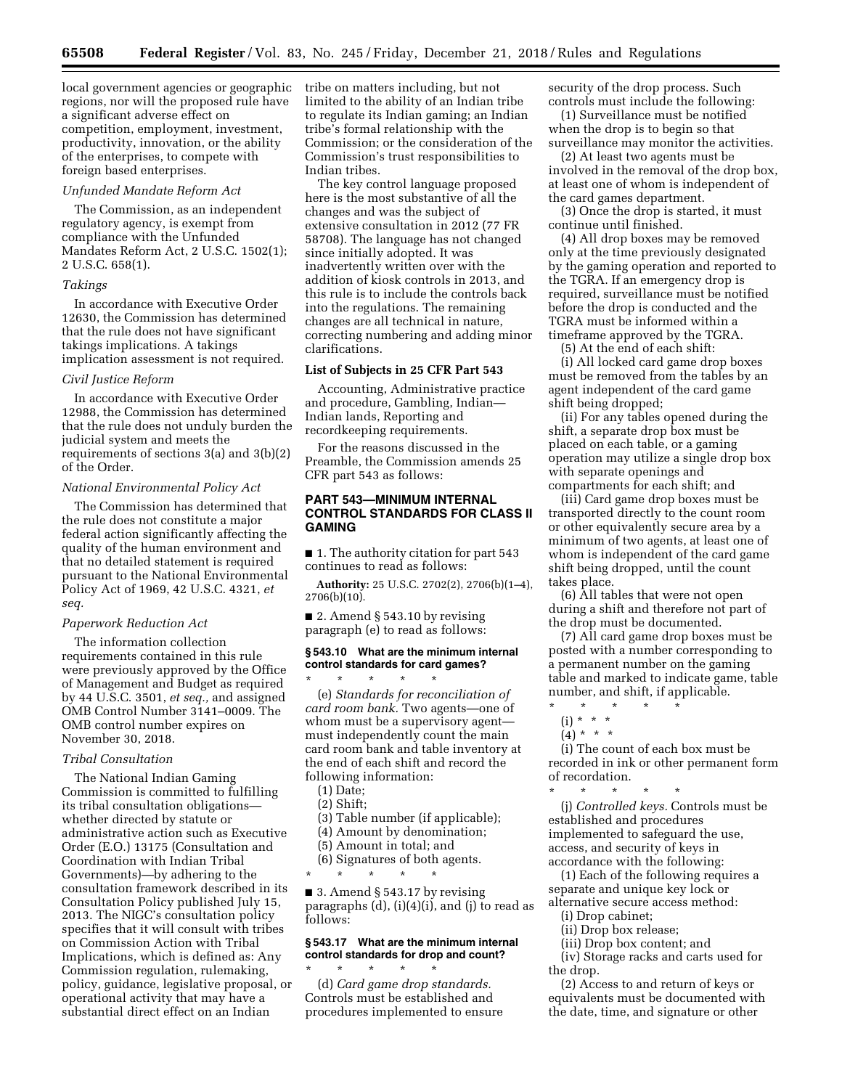local government agencies or geographic regions, nor will the proposed rule have a significant adverse effect on competition, employment, investment, productivity, innovation, or the ability of the enterprises, to compete with foreign based enterprises.

#### *Unfunded Mandate Reform Act*

The Commission, as an independent regulatory agency, is exempt from compliance with the Unfunded Mandates Reform Act, 2 U.S.C. 1502(1); 2 U.S.C. 658(1).

### *Takings*

In accordance with Executive Order 12630, the Commission has determined that the rule does not have significant takings implications. A takings implication assessment is not required.

#### *Civil Justice Reform*

In accordance with Executive Order 12988, the Commission has determined that the rule does not unduly burden the judicial system and meets the requirements of sections 3(a) and 3(b)(2) of the Order.

#### *National Environmental Policy Act*

The Commission has determined that the rule does not constitute a major federal action significantly affecting the quality of the human environment and that no detailed statement is required pursuant to the National Environmental Policy Act of 1969, 42 U.S.C. 4321, *et seq.* 

### *Paperwork Reduction Act*

The information collection requirements contained in this rule were previously approved by the Office of Management and Budget as required by 44 U.S.C. 3501, *et seq.,* and assigned OMB Control Number 3141–0009. The OMB control number expires on November 30, 2018.

### *Tribal Consultation*

The National Indian Gaming Commission is committed to fulfilling its tribal consultation obligations whether directed by statute or administrative action such as Executive Order (E.O.) 13175 (Consultation and Coordination with Indian Tribal Governments)—by adhering to the consultation framework described in its Consultation Policy published July 15, 2013. The NIGC's consultation policy specifies that it will consult with tribes on Commission Action with Tribal Implications, which is defined as: Any Commission regulation, rulemaking, policy, guidance, legislative proposal, or operational activity that may have a substantial direct effect on an Indian

tribe on matters including, but not limited to the ability of an Indian tribe to regulate its Indian gaming; an Indian tribe's formal relationship with the Commission; or the consideration of the Commission's trust responsibilities to Indian tribes.

The key control language proposed here is the most substantive of all the changes and was the subject of extensive consultation in 2012 (77 FR 58708). The language has not changed since initially adopted. It was inadvertently written over with the addition of kiosk controls in 2013, and this rule is to include the controls back into the regulations. The remaining changes are all technical in nature, correcting numbering and adding minor clarifications.

# **List of Subjects in 25 CFR Part 543**

Accounting, Administrative practice and procedure, Gambling, Indian— Indian lands, Reporting and recordkeeping requirements.

For the reasons discussed in the Preamble, the Commission amends 25 CFR part 543 as follows:

## **PART 543—MINIMUM INTERNAL CONTROL STANDARDS FOR CLASS II GAMING**

■ 1. The authority citation for part 543 continues to read as follows:

**Authority:** 25 U.S.C. 2702(2), 2706(b)(1–4), 2706(b)(10).

 $\blacksquare$  2. Amend § 543.10 by revising paragraph (e) to read as follows:

## **§ 543.10 What are the minimum internal control standards for card games?**

\* \* \* \* \* (e) *Standards for reconciliation of card room bank.* Two agents—one of whom must be a supervisory agent must independently count the main card room bank and table inventory at the end of each shift and record the following information:

- (1) Date;
- (2) Shift;
- (3) Table number (if applicable);
- (4) Amount by denomination;
- (5) Amount in total; and
- (6) Signatures of both agents.

\* \* \* \* \*

■ 3. Amend § 543.17 by revising paragraphs (d), (i)(4)(i), and (j) to read as follows:

# **§ 543.17 What are the minimum internal control standards for drop and count?**

\* \* \* \* \* (d) *Card game drop standards.*  Controls must be established and procedures implemented to ensure security of the drop process. Such controls must include the following:

(1) Surveillance must be notified when the drop is to begin so that surveillance may monitor the activities.

(2) At least two agents must be involved in the removal of the drop box, at least one of whom is independent of the card games department.

(3) Once the drop is started, it must continue until finished.

(4) All drop boxes may be removed only at the time previously designated by the gaming operation and reported to the TGRA. If an emergency drop is required, surveillance must be notified before the drop is conducted and the TGRA must be informed within a timeframe approved by the TGRA.

(5) At the end of each shift:

(i) All locked card game drop boxes must be removed from the tables by an agent independent of the card game shift being dropped;

(ii) For any tables opened during the shift, a separate drop box must be placed on each table, or a gaming operation may utilize a single drop box with separate openings and compartments for each shift; and

(iii) Card game drop boxes must be transported directly to the count room or other equivalently secure area by a minimum of two agents, at least one of whom is independent of the card game shift being dropped, until the count takes place.

(6) All tables that were not open during a shift and therefore not part of the drop must be documented.

(7) All card game drop boxes must be posted with a number corresponding to a permanent number on the gaming table and marked to indicate game, table number, and shift, if applicable.

- \* \* \* \* \* (i) \* \* \*
	- $(4) * * * *$

(i) The count of each box must be recorded in ink or other permanent form of recordation.

\* \* \* \* \* (j) *Controlled keys.* Controls must be established and procedures implemented to safeguard the use, access, and security of keys in accordance with the following:

(1) Each of the following requires a separate and unique key lock or alternative secure access method:

(i) Drop cabinet;

- (ii) Drop box release;
- (iii) Drop box content; and

(iv) Storage racks and carts used for the drop.

(2) Access to and return of keys or equivalents must be documented with the date, time, and signature or other